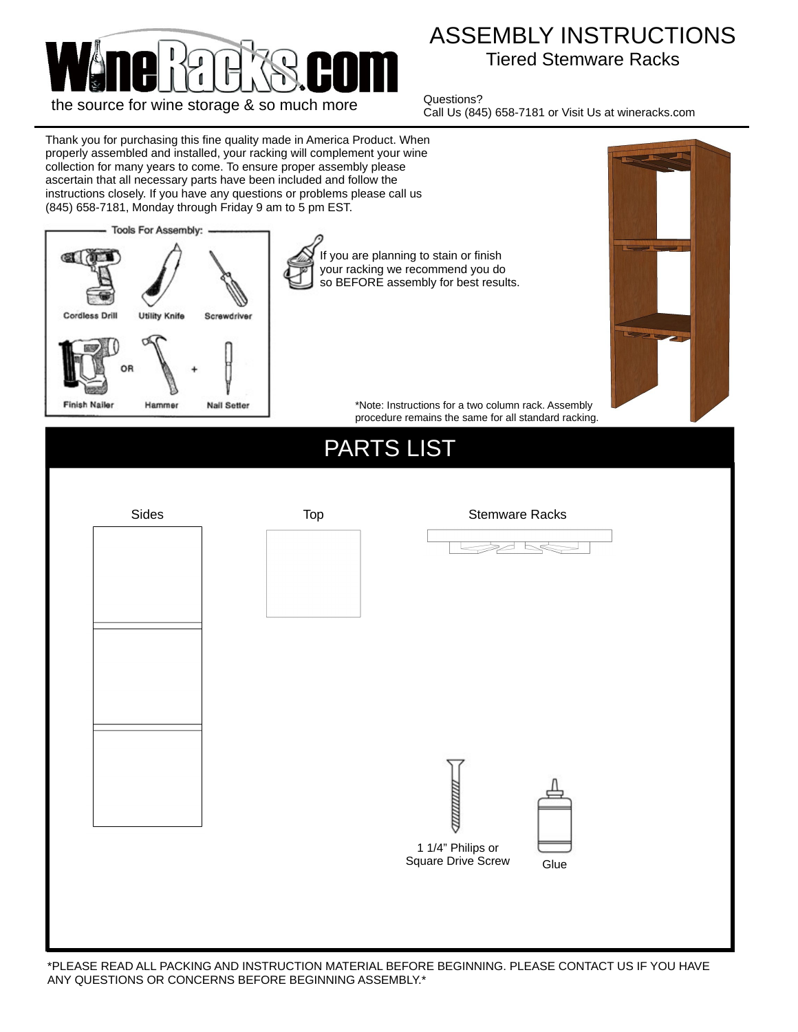

## ASSEMBLY INSTRUCTIONS Tiered Stemware Racks

Questions? Call Us (845) 658-7181 or Visit Us at wineracks.com

Thank you for purchasing this fine quality made in America Product. When properly assembled and installed, your racking will complement your wine collection for many years to come. To ensure proper assembly please ascertain that all necessary parts have been included and follow the instructions closely. If you have any questions or problems please call us (845) 658-7181, Monday through Friday 9 am to 5 pm EST. **Tools For Assembly:** If you are planning to stain or finish ŒΪ your racking we recommend you do so BEFORE assembly for best results. Cordless Drill Utility Knife Screwdriver **Finish Naile** Hammer **Nail Setter** \*Note: Instructions for a two column rack. Assembly procedure remains the same for all standard racking.PARTS LIST Sides Top Top Stemware Racks Ļ 1 1/4" Philips or Square Drive Screw **Glue** 

\*PLEASE READ ALL PACKING AND INSTRUCTION MATERIAL BEFORE BEGINNING. PLEASE CONTACT US IF YOU HAVE ANY QUESTIONS OR CONCERNS BEFORE BEGINNING ASSEMBLY.\*